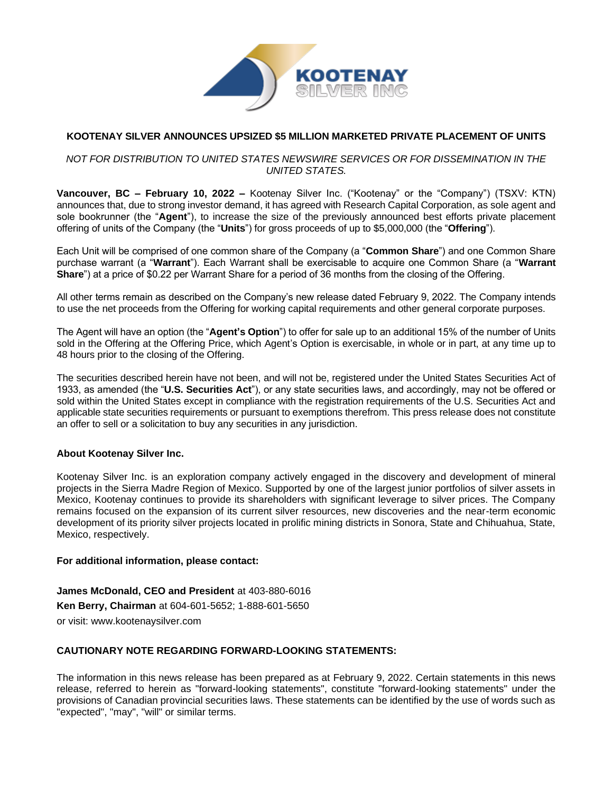

# **KOOTENAY SILVER ANNOUNCES UPSIZED \$5 MILLION MARKETED PRIVATE PLACEMENT OF UNITS**

# *NOT FOR DISTRIBUTION TO UNITED STATES NEWSWIRE SERVICES OR FOR DISSEMINATION IN THE UNITED STATES.*

**Vancouver, BC – February 10, 2022 –** Kootenay Silver Inc. ("Kootenay" or the "Company") (TSXV: KTN) announces that, due to strong investor demand, it has agreed with Research Capital Corporation, as sole agent and sole bookrunner (the "**Agent**"), to increase the size of the previously announced best efforts private placement offering of units of the Company (the "**Units**") for gross proceeds of up to \$5,000,000 (the "**Offering**").

Each Unit will be comprised of one common share of the Company (a "**Common Share**") and one Common Share purchase warrant (a "**Warrant**"). Each Warrant shall be exercisable to acquire one Common Share (a "**Warrant Share**") at a price of \$0.22 per Warrant Share for a period of 36 months from the closing of the Offering.

All other terms remain as described on the Company's new release dated February 9, 2022. The Company intends to use the net proceeds from the Offering for working capital requirements and other general corporate purposes.

The Agent will have an option (the "**Agent's Option**") to offer for sale up to an additional 15% of the number of Units sold in the Offering at the Offering Price, which Agent's Option is exercisable, in whole or in part, at any time up to 48 hours prior to the closing of the Offering.

The securities described herein have not been, and will not be, registered under the United States Securities Act of 1933, as amended (the "**U.S. Securities Act**"), or any state securities laws, and accordingly, may not be offered or sold within the United States except in compliance with the registration requirements of the U.S. Securities Act and applicable state securities requirements or pursuant to exemptions therefrom. This press release does not constitute an offer to sell or a solicitation to buy any securities in any jurisdiction.

# **About Kootenay Silver Inc.**

Kootenay Silver Inc. is an exploration company actively engaged in the discovery and development of mineral projects in the Sierra Madre Region of Mexico. Supported by one of the largest junior portfolios of silver assets in Mexico, Kootenay continues to provide its shareholders with significant leverage to silver prices. The Company remains focused on the expansion of its current silver resources, new discoveries and the near-term economic development of its priority silver projects located in prolific mining districts in Sonora, State and Chihuahua, State, Mexico, respectively.

#### **For additional information, please contact:**

**James McDonald, CEO and President** at 403-880-6016 **Ken Berry, Chairman** at 604-601-5652; 1-888-601-5650 or visit: [www.kootenaysilver.com](http://www.kootenaysilver.com/)

# **CAUTIONARY NOTE REGARDING FORWARD-LOOKING STATEMENTS:**

The information in this news release has been prepared as at February 9, 2022. Certain statements in this news release, referred to herein as "forward-looking statements", constitute "forward-looking statements" under the provisions of Canadian provincial securities laws. These statements can be identified by the use of words such as "expected", "may", "will" or similar terms.